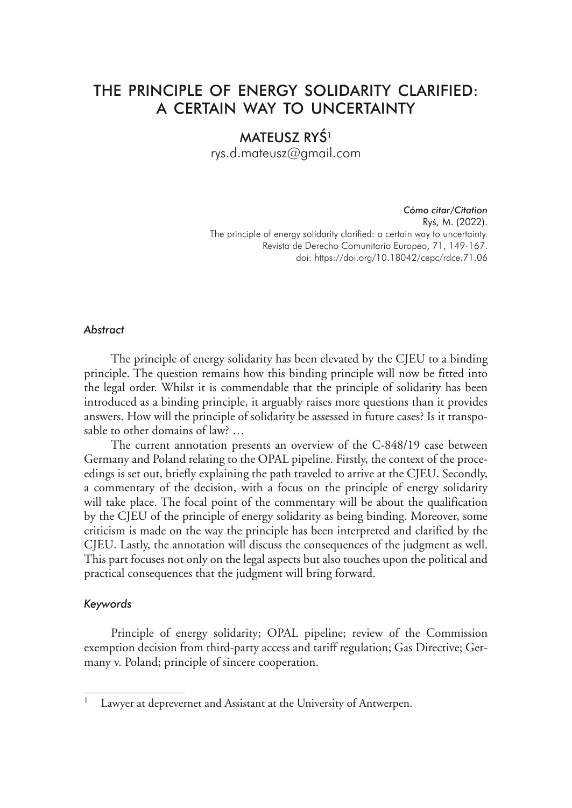# THE PRINCIPLE OF ENERGY SOLIDARITY CLARIFIED: A CERTAIN WAY TO UNCERTAINTY

## MATEUSZ RYŚ<sup>1</sup>

rys.d.mateusz@gmail.com

*Cómo citar/Citation* Ryś, M. (2022). The principle of energy solidarity clarified: a certain way to uncertainty. Revista de Derecho Comunitario Europeo, 71, 149-167. doi: https://doi.org/10.18042/cepc/rdce.71.06

#### *Abstract*

The principle of energy solidarity has been elevated by the CJEU to a binding principle. The question remains how this binding principle will now be fitted into the legal order. Whilst it is commendable that the principle of solidarity has been introduced as a binding principle, it arguably raises more questions than it provides answers. How will the principle of solidarity be assessed in future cases? Is it transposable to other domains of law? …

The current annotation presents an overview of the C-848/19 case between Germany and Poland relating to the OPAL pipeline. Firstly, the context of the proceedings is set out, briefly explaining the path traveled to arrive at the CJEU. Secondly, a commentary of the decision, with a focus on the principle of energy solidarity will take place. The focal point of the commentary will be about the qualification by the CJEU of the principle of energy solidarity as being binding. Moreover, some criticism is made on the way the principle has been interpreted and clarified by the CJEU. Lastly, the annotation will discuss the consequences of the judgment as well. This part focuses not only on the legal aspects but also touches upon the political and practical consequences that the judgment will bring forward.

#### *Keywords*

Principle of energy solidarity; OPAL pipeline; review of the Commission exemption decision from third-party access and tariff regulation; Gas Directive; Germany v. Poland; principle of sincere cooperation.

Lawyer at deprevernet and Assistant at the University of Antwerpen.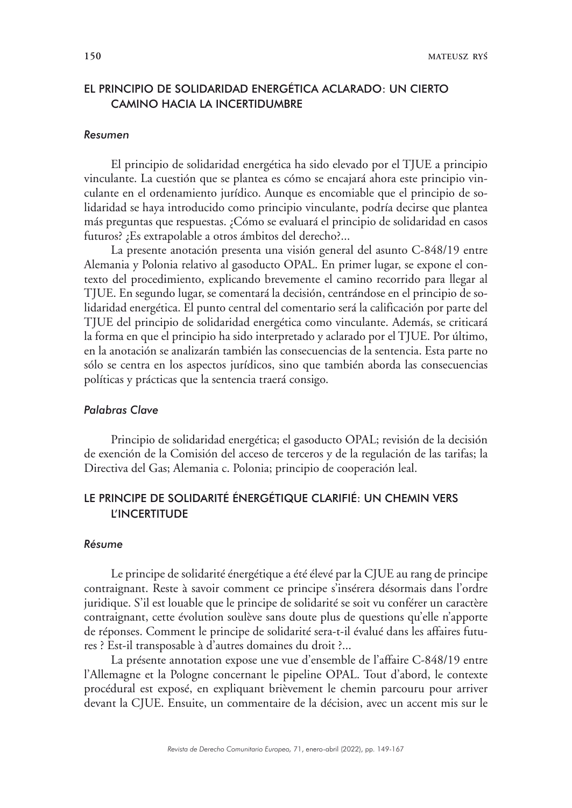## EL PRINCIPIO DE SOLIDARIDAD ENERGÉTICA ACLARADO: UN CIERTO CAMINO HACIA LA INCERTIDUMBRE

#### *Resumen*

El principio de solidaridad energética ha sido elevado por el TJUE a principio vinculante. La cuestión que se plantea es cómo se encajará ahora este principio vinculante en el ordenamiento jurídico. Aunque es encomiable que el principio de solidaridad se haya introducido como principio vinculante, podría decirse que plantea más preguntas que respuestas. ¿Cómo se evaluará el principio de solidaridad en casos futuros? ¿Es extrapolable a otros ámbitos del derecho?...

La presente anotación presenta una visión general del asunto C-848/19 entre Alemania y Polonia relativo al gasoducto OPAL. En primer lugar, se expone el contexto del procedimiento, explicando brevemente el camino recorrido para llegar al TJUE. En segundo lugar, se comentará la decisión, centrándose en el principio de solidaridad energética. El punto central del comentario será la calificación por parte del TJUE del principio de solidaridad energética como vinculante. Además, se criticará la forma en que el principio ha sido interpretado y aclarado por el TJUE. Por último, en la anotación se analizarán también las consecuencias de la sentencia. Esta parte no sólo se centra en los aspectos jurídicos, sino que también aborda las consecuencias políticas y prácticas que la sentencia traerá consigo.

### *Palabras Clave*

Principio de solidaridad energética; el gasoducto OPAL; revisión de la decisión de exención de la Comisión del acceso de terceros y de la regulación de las tarifas; la Directiva del Gas; Alemania c. Polonia; principio de cooperación leal.

## LE PRINCIPE DE SOLIDARITÉ ÉNERGÉTIQUE CLARIFIÉ: UN CHEMIN VERS L'INCERTITUDE

#### *Résume*

Le principe de solidarité énergétique a été élevé par la CJUE au rang de principe contraignant. Reste à savoir comment ce principe s'insérera désormais dans l'ordre juridique. S'il est louable que le principe de solidarité se soit vu conférer un caractère contraignant, cette évolution soulève sans doute plus de questions qu'elle n'apporte de réponses. Comment le principe de solidarité sera-t-il évalué dans les affaires futures ? Est-il transposable à d'autres domaines du droit ?...

La présente annotation expose une vue d'ensemble de l'affaire C-848/19 entre l'Allemagne et la Pologne concernant le pipeline OPAL. Tout d'abord, le contexte procédural est exposé, en expliquant brièvement le chemin parcouru pour arriver devant la CJUE. Ensuite, un commentaire de la décision, avec un accent mis sur le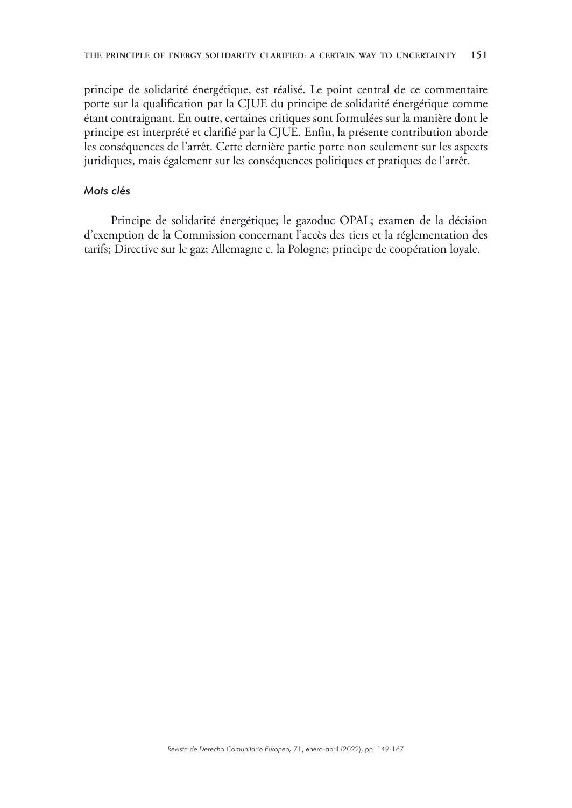principe de solidarité énergétique, est réalisé. Le point central de ce commentaire porte sur la qualification par la CJUE du principe de solidarité énergétique comme étant contraignant. En outre, certaines critiques sont formulées sur la manière dont le principe est interprété et clarifié par la CJUE. Enfin, la présente contribution aborde les conséquences de l'arrêt. Cette dernière partie porte non seulement sur les aspects juridiques, mais également sur les conséquences politiques et pratiques de l'arrêt.

### *Mots clés*

Principe de solidarité énergétique; le gazoduc OPAL; examen de la décision d'exemption de la Commission concernant l'accès des tiers et la réglementation des tarifs; Directive sur le gaz; Allemagne c. la Pologne; principe de coopération loyale.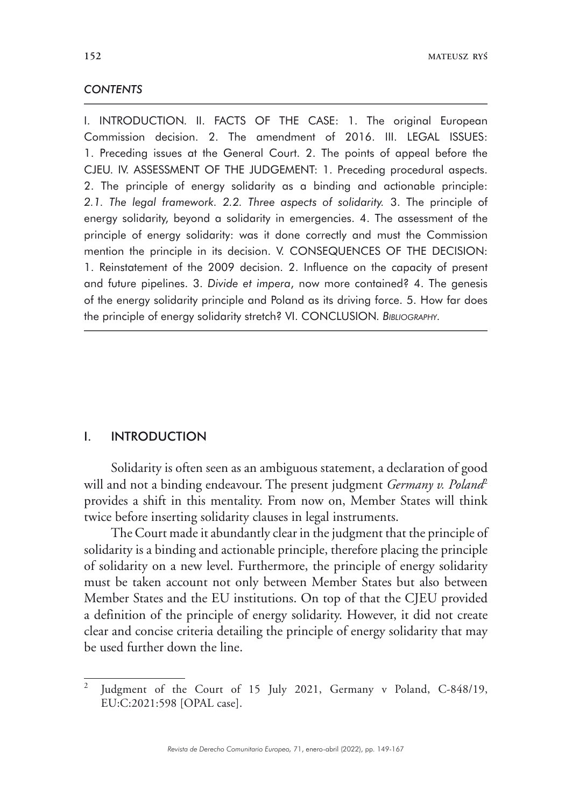### *CONTENTS*

I. INTRODUCTION. II. FACTS OF THE CASE: 1. The original European Commission decision. 2. The amendment of 2016. III. LEGAL ISSUES: 1. Preceding issues at the General Court. 2. The points of appeal before the CJEU. IV. ASSESSMENT OF THE JUDGEMENT: 1. Preceding procedural aspects. 2. The principle of energy solidarity as a binding and actionable principle: *2.1. The legal framework. 2.2. Three aspects of solidarity.* 3. The principle of energy solidarity, beyond a solidarity in emergencies. 4. The assessment of the principle of energy solidarity: was it done correctly and must the Commission mention the principle in its decision. V. CONSEQUENCES OF THE DECISION: 1. Reinstatement of the 2009 decision. 2. Influence on the capacity of present and future pipelines. 3. *Divide et impera*, now more contained? 4. The genesis of the energy solidarity principle and Poland as its driving force. 5. How far does the principle of energy solidarity stretch? VI. CONCLUSION. *Bibliography.*

## I. INTRODUCTION

Solidarity is often seen as an ambiguous statement, a declaration of good will and not a binding endeavour. The present judgment *Germany v. Poland<sup>2</sup>* provides a shift in this mentality. From now on, Member States will think twice before inserting solidarity clauses in legal instruments.

The Court made it abundantly clear in the judgment that the principle of solidarity is a binding and actionable principle, therefore placing the principle of solidarity on a new level. Furthermore, the principle of energy solidarity must be taken account not only between Member States but also between Member States and the EU institutions. On top of that the CJEU provided a definition of the principle of energy solidarity. However, it did not create clear and concise criteria detailing the principle of energy solidarity that may be used further down the line.

Judgment of the Court of 15 July 2021, Germany v Poland, C-848/19, EU:C:2021:598 [OPAL case].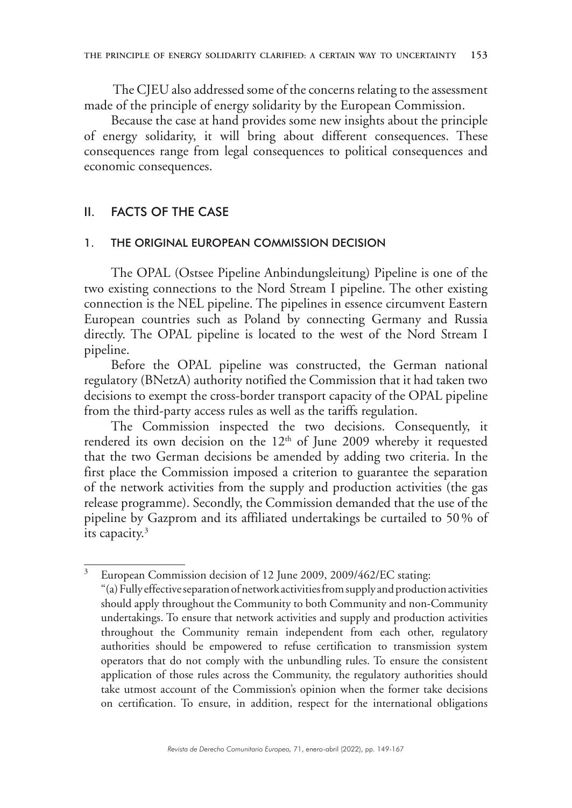The CJEU also addressed some of the concerns relating to the assessment made of the principle of energy solidarity by the European Commission.

Because the case at hand provides some new insights about the principle of energy solidarity, it will bring about different consequences. These consequences range from legal consequences to political consequences and economic consequences.

## II. FACTS OF THE CASE

#### 1. THE ORIGINAL EUROPEAN COMMISSION DECISION

The OPAL (Ostsee Pipeline Anbindungsleitung) Pipeline is one of the two existing connections to the Nord Stream I pipeline. The other existing connection is the NEL pipeline. The pipelines in essence circumvent Eastern European countries such as Poland by connecting Germany and Russia directly. The OPAL pipeline is located to the west of the Nord Stream I pipeline.

Before the OPAL pipeline was constructed, the German national regulatory (BNetzA) authority notified the Commission that it had taken two decisions to exempt the cross-border transport capacity of the OPAL pipeline from the third-party access rules as well as the tariffs regulation.

The Commission inspected the two decisions. Consequently, it rendered its own decision on the 12<sup>th</sup> of June 2009 whereby it requested that the two German decisions be amended by adding two criteria. In the first place the Commission imposed a criterion to guarantee the separation of the network activities from the supply and production activities (the gas release programme). Secondly, the Commission demanded that the use of the pipeline by Gazprom and its affiliated undertakings be curtailed to 50% of its capacity.3

<sup>&</sup>lt;sup>3</sup> European Commission decision of 12 June 2009, 2009/462/EC stating:

<sup>&</sup>quot;(a) Fully effective separation of network activities from supply and production activities should apply throughout the Community to both Community and non-Community undertakings. To ensure that network activities and supply and production activities throughout the Community remain independent from each other, regulatory authorities should be empowered to refuse certification to transmission system operators that do not comply with the unbundling rules. To ensure the consistent application of those rules across the Community, the regulatory authorities should take utmost account of the Commission's opinion when the former take decisions on certification. To ensure, in addition, respect for the international obligations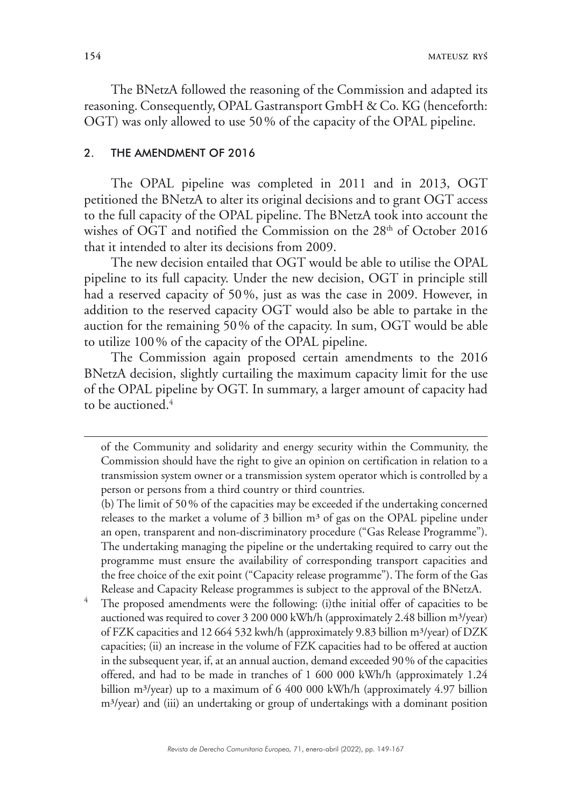The BNetzA followed the reasoning of the Commission and adapted its reasoning. Consequently, OPAL Gastransport GmbH & Co. KG (henceforth: OGT) was only allowed to use 50% of the capacity of the OPAL pipeline.

## 2. THE AMENDMENT OF 2016

The OPAL pipeline was completed in 2011 and in 2013, OGT petitioned the BNetzA to alter its original decisions and to grant OGT access to the full capacity of the OPAL pipeline. The BNetzA took into account the wishes of OGT and notified the Commission on the  $28<sup>th</sup>$  of October 2016 that it intended to alter its decisions from 2009.

The new decision entailed that OGT would be able to utilise the OPAL pipeline to its full capacity. Under the new decision, OGT in principle still had a reserved capacity of 50%, just as was the case in 2009. However, in addition to the reserved capacity OGT would also be able to partake in the auction for the remaining 50% of the capacity. In sum, OGT would be able to utilize 100% of the capacity of the OPAL pipeline.

The Commission again proposed certain amendments to the 2016 BNetzA decision, slightly curtailing the maximum capacity limit for the use of the OPAL pipeline by OGT. In summary, a larger amount of capacity had to be auctioned.<sup>4</sup>

The proposed amendments were the following: (i)the initial offer of capacities to be auctioned was required to cover  $3\,200\,000$  kWh/h (approximately 2.48 billion m<sup>3</sup>/year) of FZK capacities and 12 664 532 kwh/h (approximately 9.83 billion m<sup>3</sup>/year) of DZK capacities; (ii) an increase in the volume of FZK capacities had to be offered at auction in the subsequent year, if, at an annual auction, demand exceeded 90% of the capacities offered, and had to be made in tranches of 1 600 000 kWh/h (approximately 1.24 billion m<sup>3</sup>/year) up to a maximum of 6 400 000 kWh/h (approximately 4.97 billion m³/year) and (iii) an undertaking or group of undertakings with a dominant position

of the Community and solidarity and energy security within the Community, the Commission should have the right to give an opinion on certification in relation to a transmission system owner or a transmission system operator which is controlled by a person or persons from a third country or third countries.

<sup>(</sup>b) The limit of 50% of the capacities may be exceeded if the undertaking concerned releases to the market a volume of  $3$  billion  $m<sup>3</sup>$  of gas on the OPAL pipeline under an open, transparent and non-discriminatory procedure ("Gas Release Programme"). The undertaking managing the pipeline or the undertaking required to carry out the programme must ensure the availability of corresponding transport capacities and the free choice of the exit point ("Capacity release programme"). The form of the Gas Release and Capacity Release programmes is subject to the approval of the BNetzA.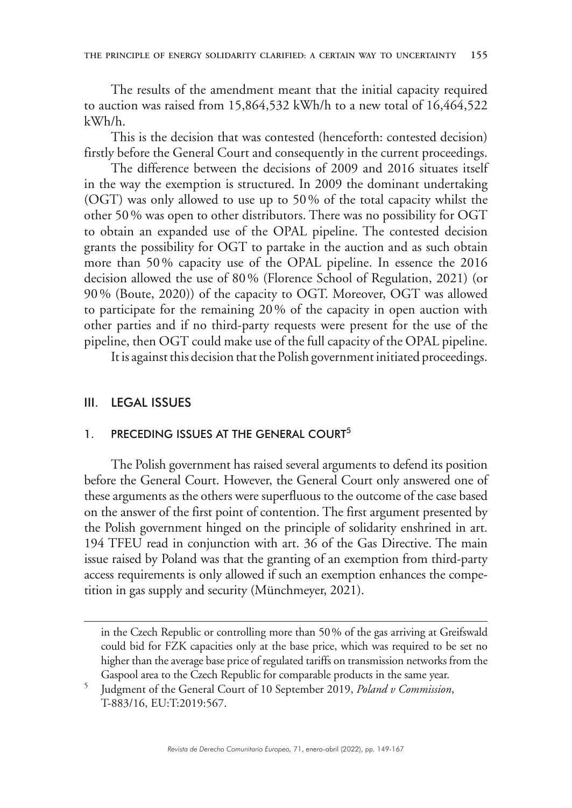The results of the amendment meant that the initial capacity required to auction was raised from 15,864,532 kWh/h to a new total of 16,464,522 kWh/h.

This is the decision that was contested (henceforth: contested decision) firstly before the General Court and consequently in the current proceedings.

The difference between the decisions of 2009 and 2016 situates itself in the way the exemption is structured. In 2009 the dominant undertaking (OGT) was only allowed to use up to 50% of the total capacity whilst the other 50% was open to other distributors. There was no possibility for OGT to obtain an expanded use of the OPAL pipeline. The contested decision grants the possibility for OGT to partake in the auction and as such obtain more than 50% capacity use of the OPAL pipeline. In essence the 2016 decision allowed the use of 80% (Florence School of Regulation, 2021) (or 90% (Boute, 2020)) of the capacity to OGT. Moreover, OGT was allowed to participate for the remaining 20% of the capacity in open auction with other parties and if no third-party requests were present for the use of the pipeline, then OGT could make use of the full capacity of the OPAL pipeline.

It is against this decision that the Polish government initiated proceedings.

### III. LEGAL ISSUES

## 1. PRECEDING ISSUES AT THE GENERAL COURT<sup>5</sup>

The Polish government has raised several arguments to defend its position before the General Court. However, the General Court only answered one of these arguments as the others were superfluous to the outcome of the case based on the answer of the first point of contention. The first argument presented by the Polish government hinged on the principle of solidarity enshrined in art. 194 TFEU read in conjunction with art. 36 of the Gas Directive. The main issue raised by Poland was that the granting of an exemption from third-party access requirements is only allowed if such an exemption enhances the competition in gas supply and security (Münchmeyer, 2021).

in the Czech Republic or controlling more than 50% of the gas arriving at Greifswald could bid for FZK capacities only at the base price, which was required to be set no higher than the average base price of regulated tariffs on transmission networks from the Gaspool area to the Czech Republic for comparable products in the same year.

<sup>5</sup> Judgment of the General Court of 10 September 2019, *Poland v Commission*, T-883/16, EU:T:2019:567.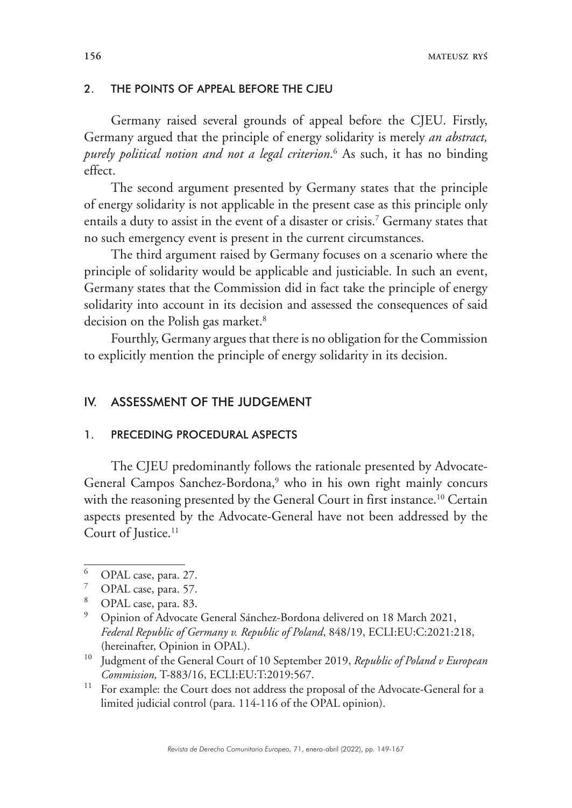#### 2. THE POINTS OF APPEAL BEFORE THE CJEU

Germany raised several grounds of appeal before the CJEU. Firstly, Germany argued that the principle of energy solidarity is merely *an abstract, purely political notion and not a legal criterion*. 6 As such, it has no binding effect.

The second argument presented by Germany states that the principle of energy solidarity is not applicable in the present case as this principle only entails a duty to assist in the event of a disaster or crisis.7 Germany states that no such emergency event is present in the current circumstances.

The third argument raised by Germany focuses on a scenario where the principle of solidarity would be applicable and justiciable. In such an event, Germany states that the Commission did in fact take the principle of energy solidarity into account in its decision and assessed the consequences of said decision on the Polish gas market.<sup>8</sup>

Fourthly, Germany argues that there is no obligation for the Commission to explicitly mention the principle of energy solidarity in its decision.

## IV. ASSESSMENT OF THE JUDGEMENT

### 1. PRECEDING PROCEDURAL ASPECTS

The CJEU predominantly follows the rationale presented by Advocate-General Campos Sanchez-Bordona,<sup>9</sup> who in his own right mainly concurs with the reasoning presented by the General Court in first instance.<sup>10</sup> Certain aspects presented by the Advocate-General have not been addressed by the Court of Justice.<sup>11</sup>

<sup>11</sup> For example: the Court does not address the proposal of the Advocate-General for a limited judicial control (para. 114-116 of the OPAL opinion).

 $\frac{6}{7}$  OPAL case, para. 27.

OPAL case, para. 57.

 $8$  OPAL case, para. 83.

<sup>9</sup> Opinion of Advocate General Sánchez-Bordona delivered on 18 March 2021, *Federal Republic of Germany v. Republic of Poland*, 848/19, ECLI:EU:C:2021:218, (hereinafter, Opinion in OPAL).

<sup>10</sup> Judgment of the General Court of 10 September 2019, *Republic of Poland v European Commission,* T-883/16, ECLI:EU:T:2019:567.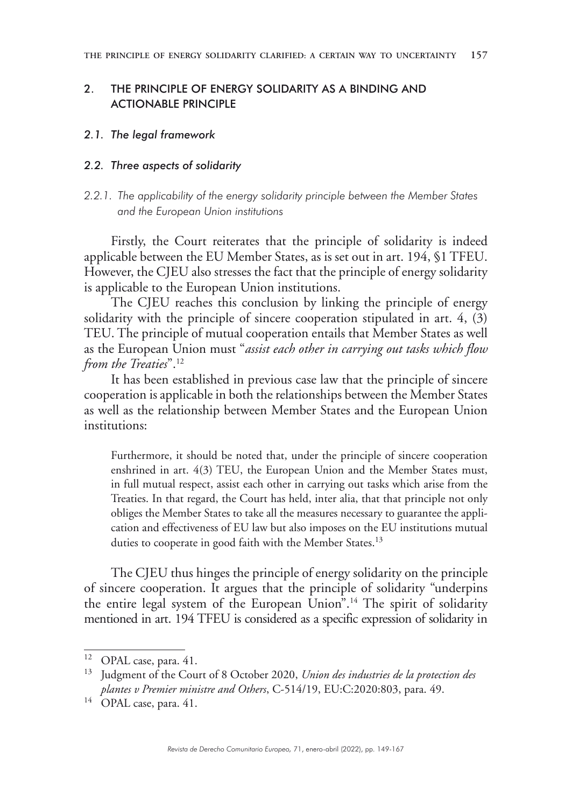## 2. THE PRINCIPLE OF ENERGY SOLIDARITY AS A BINDING AND ACTIONABLE PRINCIPLE

### *2.1. The legal framework*

## *2.2. Three aspects of solidarity*

## *2.2.1. The applicability of the energy solidarity principle between the Member States and the European Union institutions*

Firstly, the Court reiterates that the principle of solidarity is indeed applicable between the EU Member States, as is set out in art. 194, §1 TFEU. However, the CJEU also stresses the fact that the principle of energy solidarity is applicable to the European Union institutions.

The CJEU reaches this conclusion by linking the principle of energy solidarity with the principle of sincere cooperation stipulated in art. 4, (3) TEU. The principle of mutual cooperation entails that Member States as well as the European Union must "*assist each other in carrying out tasks which flow from the Treaties*".12

It has been established in previous case law that the principle of sincere cooperation is applicable in both the relationships between the Member States as well as the relationship between Member States and the European Union institutions:

Furthermore, it should be noted that, under the principle of sincere cooperation enshrined in art. 4(3) TEU, the European Union and the Member States must, in full mutual respect, assist each other in carrying out tasks which arise from the Treaties. In that regard, the Court has held, inter alia, that that principle not only obliges the Member States to take all the measures necessary to guarantee the application and effectiveness of EU law but also imposes on the EU institutions mutual duties to cooperate in good faith with the Member States.<sup>13</sup>

The CJEU thus hinges the principle of energy solidarity on the principle of sincere cooperation. It argues that the principle of solidarity "underpins the entire legal system of the European Union".14 The spirit of solidarity mentioned in art. 194 TFEU is considered as a specific expression of solidarity in

<sup>&</sup>lt;sup>12</sup> OPAL case, para. 41.

<sup>13</sup> Judgment of the Court of 8 October 2020, *Union des industries de la protection des plantes v Premier ministre and Others*, C-514/19, EU:C:2020:803, para. 49.

<sup>&</sup>lt;sup>14</sup> OPAL case, para. 41.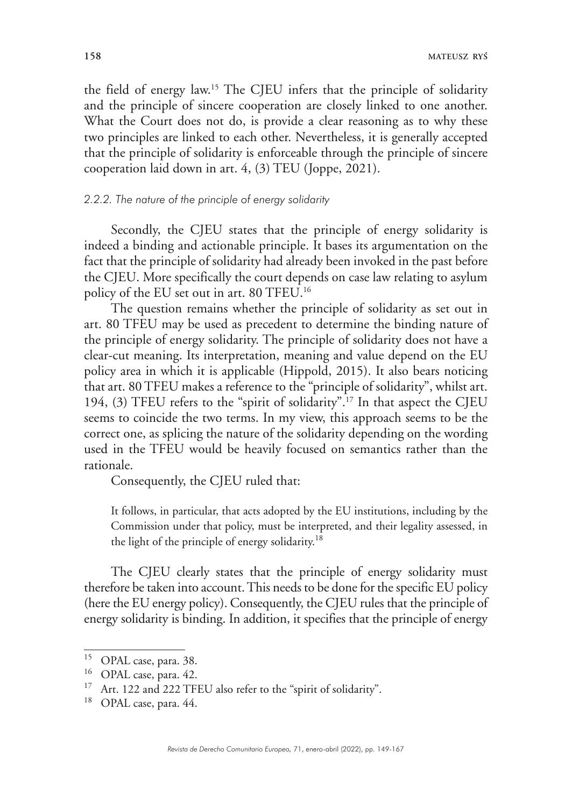**158 MATEUSZ RYŚ**

the field of energy law.15 The CJEU infers that the principle of solidarity and the principle of sincere cooperation are closely linked to one another. What the Court does not do, is provide a clear reasoning as to why these two principles are linked to each other. Nevertheless, it is generally accepted that the principle of solidarity is enforceable through the principle of sincere cooperation laid down in art. 4, (3) TEU (Joppe, 2021).

### *2.2.2. The nature of the principle of energy solidarity*

Secondly, the CJEU states that the principle of energy solidarity is indeed a binding and actionable principle. It bases its argumentation on the fact that the principle of solidarity had already been invoked in the past before the CJEU. More specifically the court depends on case law relating to asylum policy of the EU set out in art. 80 TFEU.16

The question remains whether the principle of solidarity as set out in art. 80 TFEU may be used as precedent to determine the binding nature of the principle of energy solidarity. The principle of solidarity does not have a clear-cut meaning. Its interpretation, meaning and value depend on the EU policy area in which it is applicable (Hippold, 2015). It also bears noticing that art. 80 TFEU makes a reference to the "principle of solidarity", whilst art. 194, (3) TFEU refers to the "spirit of solidarity".17 In that aspect the CJEU seems to coincide the two terms. In my view, this approach seems to be the correct one, as splicing the nature of the solidarity depending on the wording used in the TFEU would be heavily focused on semantics rather than the rationale.

Consequently, the CJEU ruled that:

It follows, in particular, that acts adopted by the EU institutions, including by the Commission under that policy, must be interpreted, and their legality assessed, in the light of the principle of energy solidarity.<sup>18</sup>

The CJEU clearly states that the principle of energy solidarity must therefore be taken into account. This needs to be done for the specific EU policy (here the EU energy policy). Consequently, the CJEU rules that the principle of energy solidarity is binding. In addition, it specifies that the principle of energy

<sup>&</sup>lt;sup>15</sup> OPAL case, para. 38.

<sup>&</sup>lt;sup>16</sup> OPAL case, para. 42.

<sup>&</sup>lt;sup>17</sup> Art. 122 and 222 TFEU also refer to the "spirit of solidarity".

<sup>&</sup>lt;sup>18</sup> OPAL case, para. 44.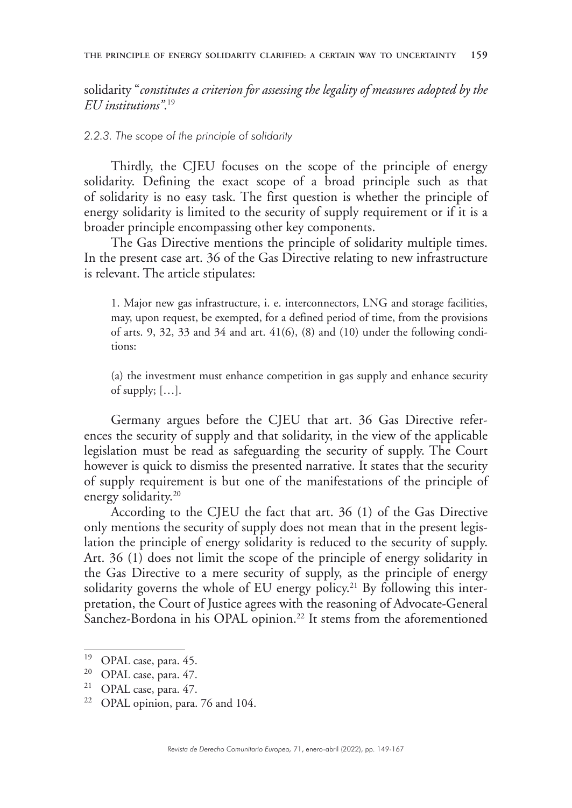solidarity "*constitutes a criterion for assessing the legality of measures adopted by the EU institutions"*. 19

## *2.2.3. The scope of the principle of solidarity*

Thirdly, the CJEU focuses on the scope of the principle of energy solidarity. Defining the exact scope of a broad principle such as that of solidarity is no easy task. The first question is whether the principle of energy solidarity is limited to the security of supply requirement or if it is a broader principle encompassing other key components.

The Gas Directive mentions the principle of solidarity multiple times. In the present case art. 36 of the Gas Directive relating to new infrastructure is relevant. The article stipulates:

1. Major new gas infrastructure, i. e. interconnectors, LNG and storage facilities, may, upon request, be exempted, for a defined period of time, from the provisions of arts. 9, 32, 33 and 34 and art.  $41(6)$ ,  $(8)$  and  $(10)$  under the following conditions:

(a) the investment must enhance competition in gas supply and enhance security of supply; […].

Germany argues before the CJEU that art. 36 Gas Directive references the security of supply and that solidarity, in the view of the applicable legislation must be read as safeguarding the security of supply. The Court however is quick to dismiss the presented narrative. It states that the security of supply requirement is but one of the manifestations of the principle of energy solidarity.<sup>20</sup>

According to the CJEU the fact that art. 36 (1) of the Gas Directive only mentions the security of supply does not mean that in the present legislation the principle of energy solidarity is reduced to the security of supply. Art. 36 (1) does not limit the scope of the principle of energy solidarity in the Gas Directive to a mere security of supply, as the principle of energy solidarity governs the whole of EU energy policy.<sup>21</sup> By following this interpretation, the Court of Justice agrees with the reasoning of Advocate-General Sanchez-Bordona in his OPAL opinion.<sup>22</sup> It stems from the aforementioned

<sup>&</sup>lt;sup>19</sup> OPAL case, para.  $45$ .<br><sup>20</sup> OPAL case, para.  $47$ 

OPAL case, para. 47.

<sup>21</sup> OPAL case, para. 47.

<sup>22</sup> OPAL opinion, para. 76 and 104.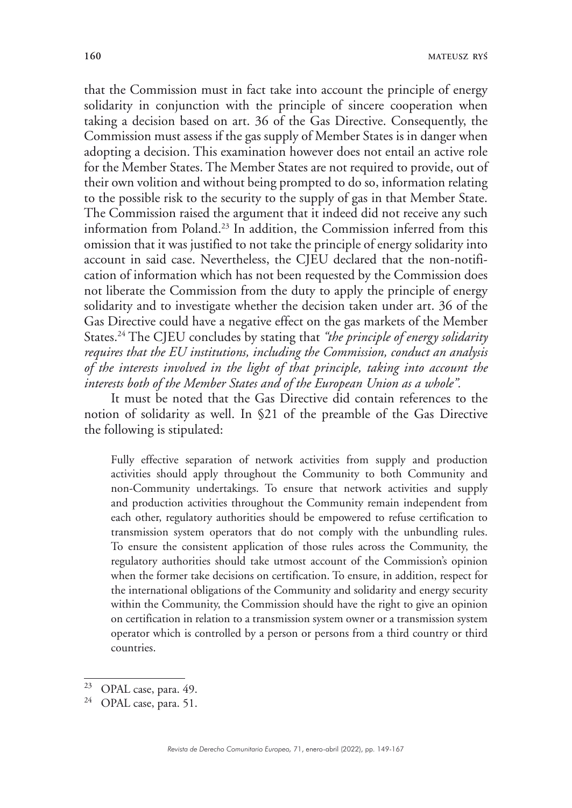that the Commission must in fact take into account the principle of energy solidarity in conjunction with the principle of sincere cooperation when taking a decision based on art. 36 of the Gas Directive. Consequently, the Commission must assess if the gas supply of Member States is in danger when adopting a decision. This examination however does not entail an active role for the Member States. The Member States are not required to provide, out of their own volition and without being prompted to do so, information relating to the possible risk to the security to the supply of gas in that Member State. The Commission raised the argument that it indeed did not receive any such information from Poland.23 In addition, the Commission inferred from this omission that it was justified to not take the principle of energy solidarity into account in said case. Nevertheless, the CJEU declared that the non-notification of information which has not been requested by the Commission does not liberate the Commission from the duty to apply the principle of energy solidarity and to investigate whether the decision taken under art. 36 of the Gas Directive could have a negative effect on the gas markets of the Member States.24 The CJEU concludes by stating that *"the principle of energy solidarity requires that the EU institutions, including the Commission, conduct an analysis of the interests involved in the light of that principle, taking into account the interests both of the Member States and of the European Union as a whole".*

It must be noted that the Gas Directive did contain references to the notion of solidarity as well. In §21 of the preamble of the Gas Directive the following is stipulated:

Fully effective separation of network activities from supply and production activities should apply throughout the Community to both Community and non-Community undertakings. To ensure that network activities and supply and production activities throughout the Community remain independent from each other, regulatory authorities should be empowered to refuse certification to transmission system operators that do not comply with the unbundling rules. To ensure the consistent application of those rules across the Community, the regulatory authorities should take utmost account of the Commission's opinion when the former take decisions on certification. To ensure, in addition, respect for the international obligations of the Community and solidarity and energy security within the Community, the Commission should have the right to give an opinion on certification in relation to a transmission system owner or a transmission system operator which is controlled by a person or persons from a third country or third countries.

 $^{23}$  OPAL case, para. 49.

OPAL case, para. 51.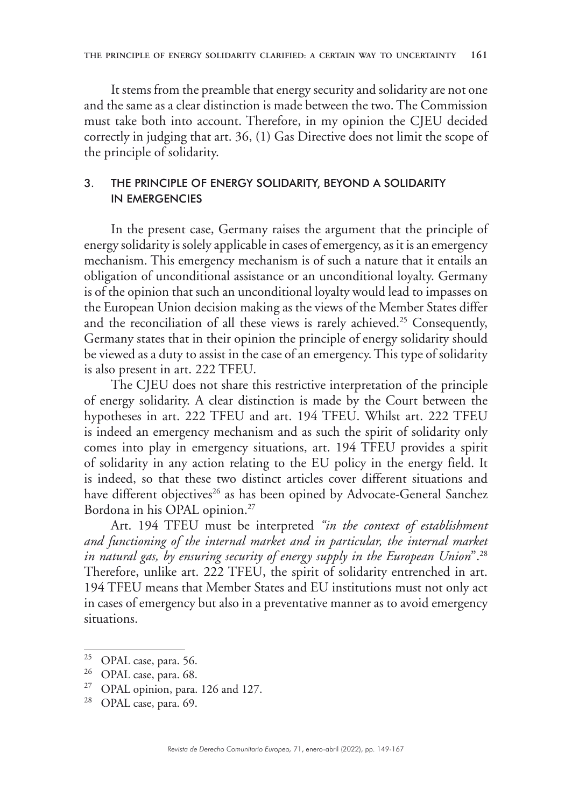It stems from the preamble that energy security and solidarity are not one and the same as a clear distinction is made between the two. The Commission must take both into account. Therefore, in my opinion the CJEU decided correctly in judging that art. 36, (1) Gas Directive does not limit the scope of the principle of solidarity.

## 3. THE PRINCIPLE OF ENERGY SOLIDARITY, BEYOND A SOLIDARITY IN EMERGENCIES

In the present case, Germany raises the argument that the principle of energy solidarity is solely applicable in cases of emergency, as it is an emergency mechanism. This emergency mechanism is of such a nature that it entails an obligation of unconditional assistance or an unconditional loyalty. Germany is of the opinion that such an unconditional loyalty would lead to impasses on the European Union decision making as the views of the Member States differ and the reconciliation of all these views is rarely achieved.<sup>25</sup> Consequently, Germany states that in their opinion the principle of energy solidarity should be viewed as a duty to assist in the case of an emergency. This type of solidarity is also present in art. 222 TFEU.

The CJEU does not share this restrictive interpretation of the principle of energy solidarity. A clear distinction is made by the Court between the hypotheses in art. 222 TFEU and art. 194 TFEU. Whilst art. 222 TFEU is indeed an emergency mechanism and as such the spirit of solidarity only comes into play in emergency situations, art. 194 TFEU provides a spirit of solidarity in any action relating to the EU policy in the energy field. It is indeed, so that these two distinct articles cover different situations and have different objectives<sup>26</sup> as has been opined by Advocate-General Sanchez Bordona in his OPAL opinion.<sup>27</sup>

Art. 194 TFEU must be interpreted *"in the context of establishment and functioning of the internal market and in particular, the internal market in natural gas, by ensuring security of energy supply in the European Union*".28 Therefore, unlike art. 222 TFEU, the spirit of solidarity entrenched in art. 194 TFEU means that Member States and EU institutions must not only act in cases of emergency but also in a preventative manner as to avoid emergency situations.

<sup>25</sup> OPAL case, para. 56.

<sup>&</sup>lt;sup>26</sup> OPAL case, para. 68.

<sup>27</sup> OPAL opinion, para. 126 and 127.

<sup>28</sup> OPAL case, para. 69.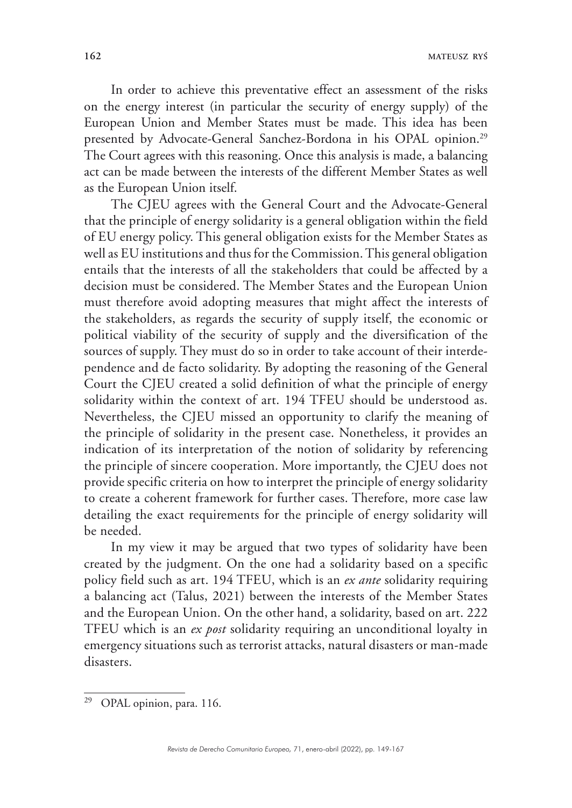**162 MATEUSZ RYŚ**

In order to achieve this preventative effect an assessment of the risks on the energy interest (in particular the security of energy supply) of the European Union and Member States must be made. This idea has been presented by Advocate-General Sanchez-Bordona in his OPAL opinion.<sup>29</sup> The Court agrees with this reasoning. Once this analysis is made, a balancing act can be made between the interests of the different Member States as well as the European Union itself.

The CJEU agrees with the General Court and the Advocate-General that the principle of energy solidarity is a general obligation within the field of EU energy policy. This general obligation exists for the Member States as well as EU institutions and thus for the Commission. This general obligation entails that the interests of all the stakeholders that could be affected by a decision must be considered. The Member States and the European Union must therefore avoid adopting measures that might affect the interests of the stakeholders, as regards the security of supply itself, the economic or political viability of the security of supply and the diversification of the sources of supply. They must do so in order to take account of their interdependence and de facto solidarity. By adopting the reasoning of the General Court the CJEU created a solid definition of what the principle of energy solidarity within the context of art. 194 TFEU should be understood as. Nevertheless, the CJEU missed an opportunity to clarify the meaning of the principle of solidarity in the present case. Nonetheless, it provides an indication of its interpretation of the notion of solidarity by referencing the principle of sincere cooperation. More importantly, the CJEU does not provide specific criteria on how to interpret the principle of energy solidarity to create a coherent framework for further cases. Therefore, more case law detailing the exact requirements for the principle of energy solidarity will be needed.

In my view it may be argued that two types of solidarity have been created by the judgment. On the one had a solidarity based on a specific policy field such as art. 194 TFEU, which is an *ex ante* solidarity requiring a balancing act (Talus, 2021) between the interests of the Member States and the European Union. On the other hand, a solidarity, based on art. 222 TFEU which is an *ex post* solidarity requiring an unconditional loyalty in emergency situations such as terrorist attacks, natural disasters or man-made disasters.

<sup>29</sup> OPAL opinion, para. 116.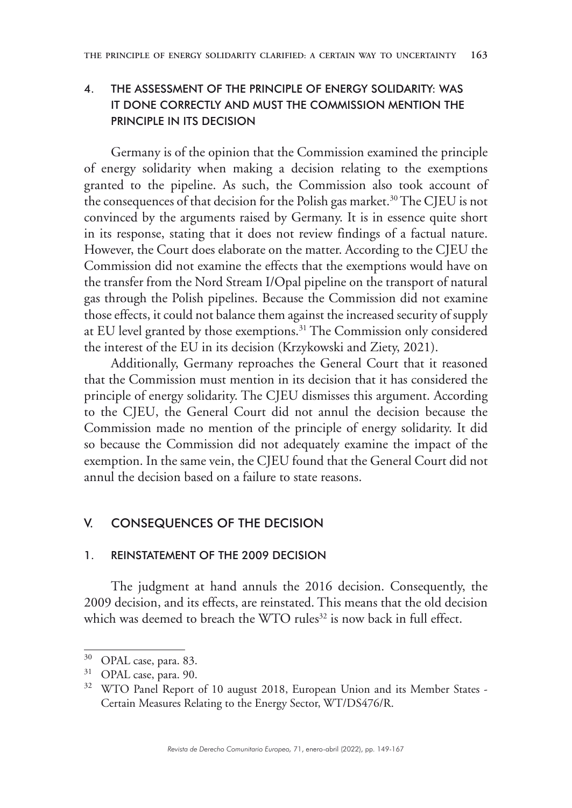## 4. THE ASSESSMENT OF THE PRINCIPLE OF ENERGY SOLIDARITY: WAS IT DONE CORRECTLY AND MUST THE COMMISSION MENTION THE PRINCIPLE IN ITS DECISION

Germany is of the opinion that the Commission examined the principle of energy solidarity when making a decision relating to the exemptions granted to the pipeline. As such, the Commission also took account of the consequences of that decision for the Polish gas market.<sup>30</sup> The CJEU is not convinced by the arguments raised by Germany. It is in essence quite short in its response, stating that it does not review findings of a factual nature. However, the Court does elaborate on the matter. According to the CJEU the Commission did not examine the effects that the exemptions would have on the transfer from the Nord Stream I/Opal pipeline on the transport of natural gas through the Polish pipelines. Because the Commission did not examine those effects, it could not balance them against the increased security of supply at EU level granted by those exemptions.31 The Commission only considered the interest of the EU in its decision (Krzykowski and Ziety, 2021).

Additionally, Germany reproaches the General Court that it reasoned that the Commission must mention in its decision that it has considered the principle of energy solidarity. The CJEU dismisses this argument. According to the CJEU, the General Court did not annul the decision because the Commission made no mention of the principle of energy solidarity. It did so because the Commission did not adequately examine the impact of the exemption. In the same vein, the CJEU found that the General Court did not annul the decision based on a failure to state reasons.

## V. CONSEQUENCES OF THE DECISION

## 1. REINSTATEMENT OF THE 2009 DECISION

The judgment at hand annuls the 2016 decision. Consequently, the 2009 decision, and its effects, are reinstated. This means that the old decision which was deemed to breach the WTO rules<sup>32</sup> is now back in full effect.

<sup>30</sup> OPAL case, para. 83.

<sup>&</sup>lt;sup>31</sup> OPAL case, para. 90.

<sup>&</sup>lt;sup>32</sup> WTO Panel Report of 10 august 2018, European Union and its Member States -Certain Measures Relating to the Energy Sector, WT/DS476/R.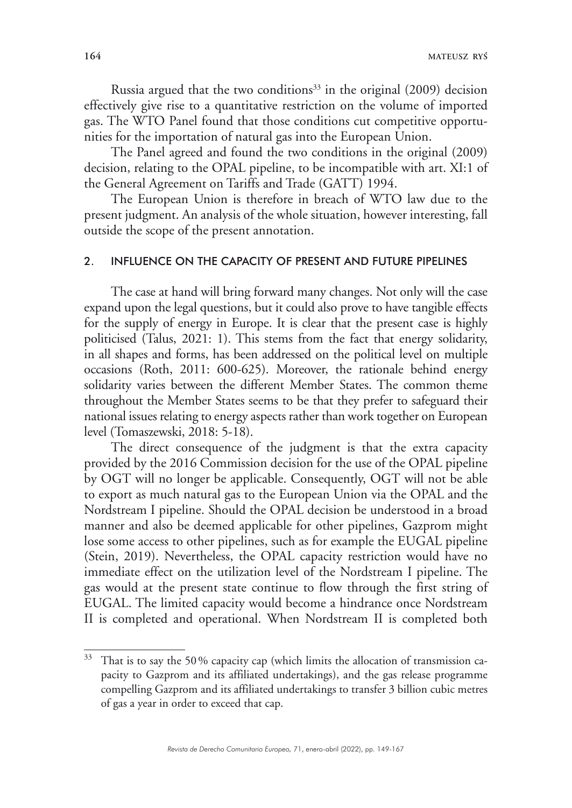Russia argued that the two conditions<sup>33</sup> in the original  $(2009)$  decision effectively give rise to a quantitative restriction on the volume of imported gas. The WTO Panel found that those conditions cut competitive opportunities for the importation of natural gas into the European Union.

The Panel agreed and found the two conditions in the original (2009) decision, relating to the OPAL pipeline, to be incompatible with art. XI:1 of the General Agreement on Tariffs and Trade (GATT) 1994.

The European Union is therefore in breach of WTO law due to the present judgment. An analysis of the whole situation, however interesting, fall outside the scope of the present annotation.

#### 2. INFLUENCE ON THE CAPACITY OF PRESENT AND FUTURE PIPELINES

The case at hand will bring forward many changes. Not only will the case expand upon the legal questions, but it could also prove to have tangible effects for the supply of energy in Europe. It is clear that the present case is highly politicised (Talus, 2021: 1). This stems from the fact that energy solidarity, in all shapes and forms, has been addressed on the political level on multiple occasions (Roth, 2011: 600-625). Moreover, the rationale behind energy solidarity varies between the different Member States. The common theme throughout the Member States seems to be that they prefer to safeguard their national issues relating to energy aspects rather than work together on European level (Tomaszewski, 2018: 5-18).

The direct consequence of the judgment is that the extra capacity provided by the 2016 Commission decision for the use of the OPAL pipeline by OGT will no longer be applicable. Consequently, OGT will not be able to export as much natural gas to the European Union via the OPAL and the Nordstream I pipeline. Should the OPAL decision be understood in a broad manner and also be deemed applicable for other pipelines, Gazprom might lose some access to other pipelines, such as for example the EUGAL pipeline (Stein, 2019). Nevertheless, the OPAL capacity restriction would have no immediate effect on the utilization level of the Nordstream I pipeline. The gas would at the present state continue to flow through the first string of EUGAL. The limited capacity would become a hindrance once Nordstream II is completed and operational. When Nordstream II is completed both

<sup>&</sup>lt;sup>33</sup> That is to say the 50% capacity cap (which limits the allocation of transmission capacity to Gazprom and its affiliated undertakings), and the gas release programme compelling Gazprom and its affiliated undertakings to transfer 3 billion cubic metres of gas a year in order to exceed that cap.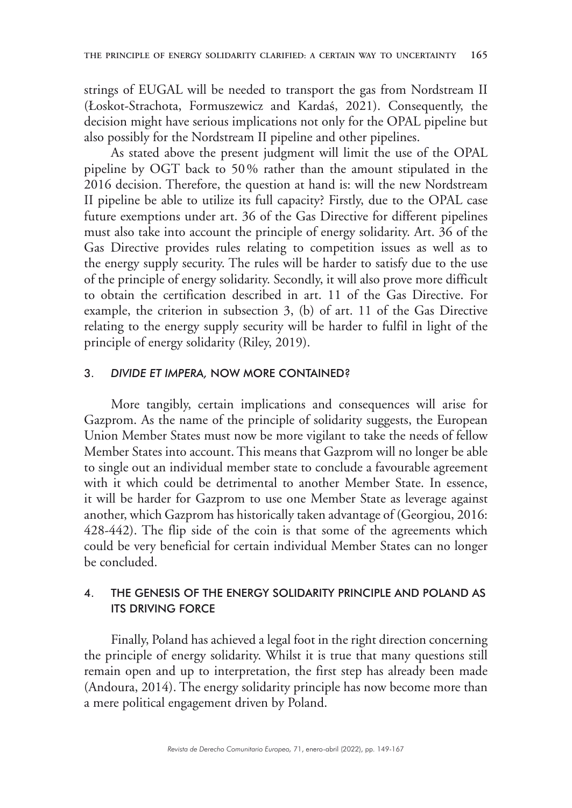strings of EUGAL will be needed to transport the gas from Nordstream II (Łoskot-Strachota, Formuszewicz and Kardaś, 2021). Consequently, the decision might have serious implications not only for the OPAL pipeline but also possibly for the Nordstream II pipeline and other pipelines.

As stated above the present judgment will limit the use of the OPAL pipeline by OGT back to 50% rather than the amount stipulated in the 2016 decision. Therefore, the question at hand is: will the new Nordstream II pipeline be able to utilize its full capacity? Firstly, due to the OPAL case future exemptions under art. 36 of the Gas Directive for different pipelines must also take into account the principle of energy solidarity. Art. 36 of the Gas Directive provides rules relating to competition issues as well as to the energy supply security. The rules will be harder to satisfy due to the use of the principle of energy solidarity. Secondly, it will also prove more difficult to obtain the certification described in art. 11 of the Gas Directive. For example, the criterion in subsection 3, (b) of art. 11 of the Gas Directive relating to the energy supply security will be harder to fulfil in light of the principle of energy solidarity (Riley, 2019).

#### 3. *DIVIDE ET IMPERA,* NOW MORE CONTAINED?

More tangibly, certain implications and consequences will arise for Gazprom. As the name of the principle of solidarity suggests, the European Union Member States must now be more vigilant to take the needs of fellow Member States into account. This means that Gazprom will no longer be able to single out an individual member state to conclude a favourable agreement with it which could be detrimental to another Member State. In essence, it will be harder for Gazprom to use one Member State as leverage against another, which Gazprom has historically taken advantage of (Georgiou, 2016: 428-442). The flip side of the coin is that some of the agreements which could be very beneficial for certain individual Member States can no longer be concluded.

## 4. THE GENESIS OF THE ENERGY SOLIDARITY PRINCIPLE AND POLAND AS ITS DRIVING FORCE

Finally, Poland has achieved a legal foot in the right direction concerning the principle of energy solidarity. Whilst it is true that many questions still remain open and up to interpretation, the first step has already been made (Andoura, 2014). The energy solidarity principle has now become more than a mere political engagement driven by Poland.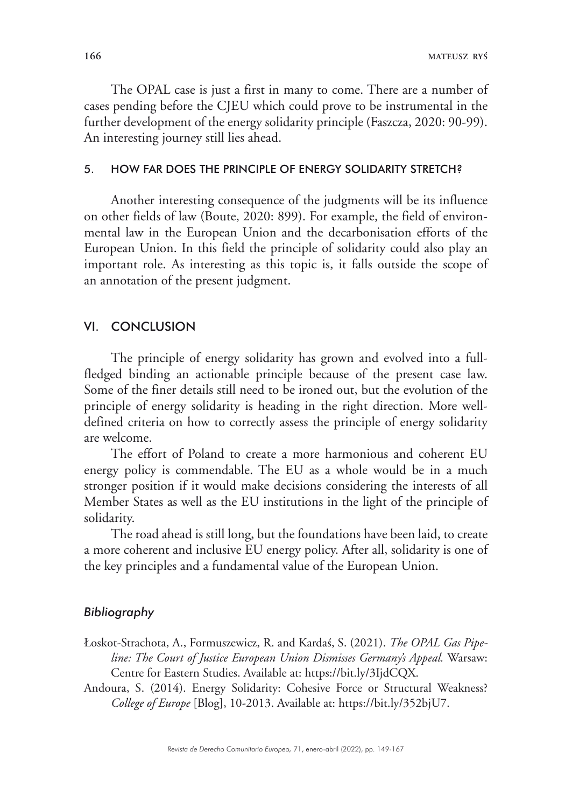The OPAL case is just a first in many to come. There are a number of cases pending before the CJEU which could prove to be instrumental in the further development of the energy solidarity principle (Faszcza, 2020: 90-99). An interesting journey still lies ahead.

### 5. HOW FAR DOES THE PRINCIPLE OF ENERGY SOLIDARITY STRETCH?

Another interesting consequence of the judgments will be its influence on other fields of law (Boute, 2020: 899). For example, the field of environmental law in the European Union and the decarbonisation efforts of the European Union. In this field the principle of solidarity could also play an important role. As interesting as this topic is, it falls outside the scope of an annotation of the present judgment.

### VI. CONCLUSION

The principle of energy solidarity has grown and evolved into a fullfledged binding an actionable principle because of the present case law. Some of the finer details still need to be ironed out, but the evolution of the principle of energy solidarity is heading in the right direction. More welldefined criteria on how to correctly assess the principle of energy solidarity are welcome.

The effort of Poland to create a more harmonious and coherent EU energy policy is commendable. The EU as a whole would be in a much stronger position if it would make decisions considering the interests of all Member States as well as the EU institutions in the light of the principle of solidarity.

The road ahead is still long, but the foundations have been laid, to create a more coherent and inclusive EU energy policy. After all, solidarity is one of the key principles and a fundamental value of the European Union.

#### *Bibliography*

- Łoskot-Strachota, A., Formuszewicz, R. and Kardaś, S. (2021). *The OPAL Gas Pipeline: The Court of Justice European Union Dismisses Germany's Appeal.* Warsaw: Centre for Eastern Studies. Available at: https://bit.ly/3IjdCQX.
- Andoura, S. (2014). Energy Solidarity: Cohesive Force or Structural Weakness? *College of Europe* [Blog], 10-2013. Available at: https://bit.ly/352bjU7.